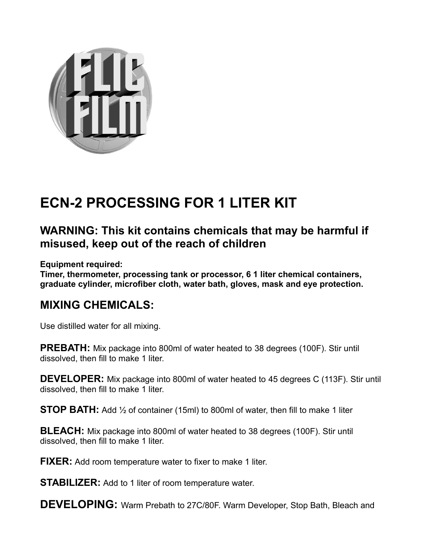

## **ECN-2 PROCESSING FOR 1 LITER KIT**

## **WARNING: This kit contains chemicals that may be harmful if misused, keep out of the reach of children**

**Equipment required:**

**Timer, thermometer, processing tank or processor, 6 1 liter chemical containers, graduate cylinder, microfiber cloth, water bath, gloves, mask and eye protection.**

## **MIXING CHEMICALS:**

Use distilled water for all mixing.

**PREBATH:** Mix package into 800ml of water heated to 38 degrees (100F). Stir until dissolved, then fill to make 1 liter.

**DEVELOPER:** Mix package into 800ml of water heated to 45 degrees C (113F). Stir until dissolved, then fill to make 1 liter.

**STOP BATH:** Add 1/2 of container (15ml) to 800ml of water, then fill to make 1 liter

**BLEACH:** Mix package into 800ml of water heated to 38 degrees (100F). Stir until dissolved, then fill to make 1 liter.

**FIXER:** Add room temperature water to fixer to make 1 liter.

**STABILIZER:** Add to 1 liter of room temperature water.

**DEVELOPING:** Warm Prebath to 27C/80F. Warm Developer, Stop Bath, Bleach and